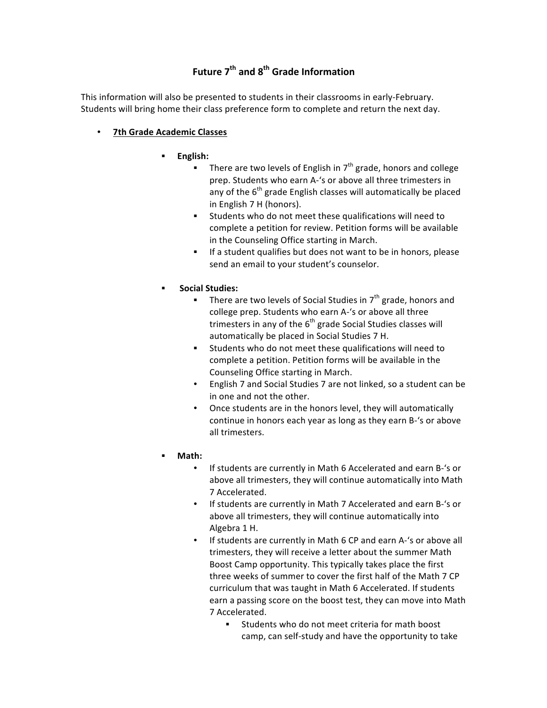## **Future 7th and 8th Grade Information**

This information will also be presented to students in their classrooms in early-February. Students will bring home their class preference form to complete and return the next day.

## • **7th Grade Academic Classes**

- § **English:**
	- There are two levels of English in  $7<sup>th</sup>$  grade, honors and college prep. Students who earn A-'s or above all three trimesters in any of the  $6<sup>th</sup>$  grade English classes will automatically be placed in English 7 H (honors).
	- **EXECT:** Students who do not meet these qualifications will need to complete a petition for review. Petition forms will be available in the Counseling Office starting in March.
	- **EXECT:** If a student qualifies but does not want to be in honors, please send an email to your student's counselor.
- § **Social Studies:**
	- **EXECTE:** There are two levels of Social Studies in  $7<sup>th</sup>$  grade, honors and college prep. Students who earn A-'s or above all three trimesters in any of the  $6<sup>th</sup>$  grade Social Studies classes will automatically be placed in Social Studies 7 H.
	- Students who do not meet these qualifications will need to complete a petition. Petition forms will be available in the Counseling Office starting in March.
	- English 7 and Social Studies 7 are not linked, so a student can be in one and not the other.
	- Once students are in the honors level, they will automatically continue in honors each year as long as they earn B-'s or above all trimesters.
- § **Math:**
	- If students are currently in Math 6 Accelerated and earn B-'s or above all trimesters, they will continue automatically into Math 7 Accelerated.
	- If students are currently in Math 7 Accelerated and earn B-'s or above all trimesters, they will continue automatically into Algebra 1 H.
	- If students are currently in Math 6 CP and earn A-'s or above all trimesters, they will receive a letter about the summer Math Boost Camp opportunity. This typically takes place the first three weeks of summer to cover the first half of the Math 7 CP curriculum that was taught in Math 6 Accelerated. If students earn a passing score on the boost test, they can move into Math 7 Accelerated.
		- Students who do not meet criteria for math boost camp, can self-study and have the opportunity to take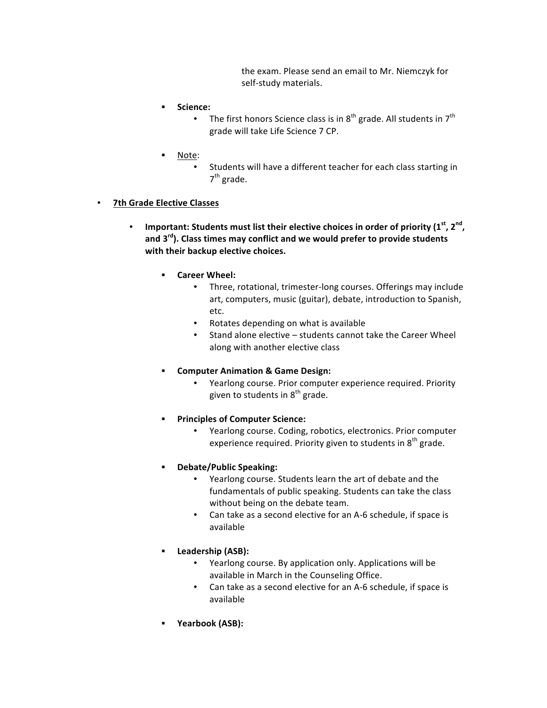the exam. Please send an email to Mr. Niemczyk for self-study materials.

- § **Science:**
	- The first honors Science class is in  $8^{th}$  grade. All students in  $7^{th}$ grade will take Life Science 7 CP.
- § Note:
	- Students will have a different teacher for each class starting in  $7<sup>th</sup>$  grade.
- **7th Grade Elective Classes**
	- **Important: Students must list their elective choices in order of priority (1<sup>st</sup>, 2<sup>nd</sup>,** and 3<sup>rd</sup>). Class times may conflict and we would prefer to provide students with their backup elective choices.
		- § **Career Wheel:**
			- Three, rotational, trimester-long courses. Offerings may include art, computers, music (guitar), debate, introduction to Spanish, etc.
			- Rotates depending on what is available
			- Stand alone elective students cannot take the Career Wheel along with another elective class
		- § **Computer Animation & Game Design:**
			- Yearlong course. Prior computer experience required. Priority given to students in  $8<sup>th</sup>$  grade.
		- **Principles of Computer Science:** 
			- Yearlong course. Coding, robotics, electronics. Prior computer experience required. Priority given to students in  $8<sup>th</sup>$  grade.
		- § **Debate/Public Speaking:**
			- Yearlong course. Students learn the art of debate and the fundamentals of public speaking. Students can take the class without being on the debate team.
			- Can take as a second elective for an A-6 schedule, if space is available
		- § **Leadership (ASB):**
			- Yearlong course. By application only. Applications will be available in March in the Counseling Office.
			- Can take as a second elective for an A-6 schedule, if space is available
		- § **Yearbook (ASB):**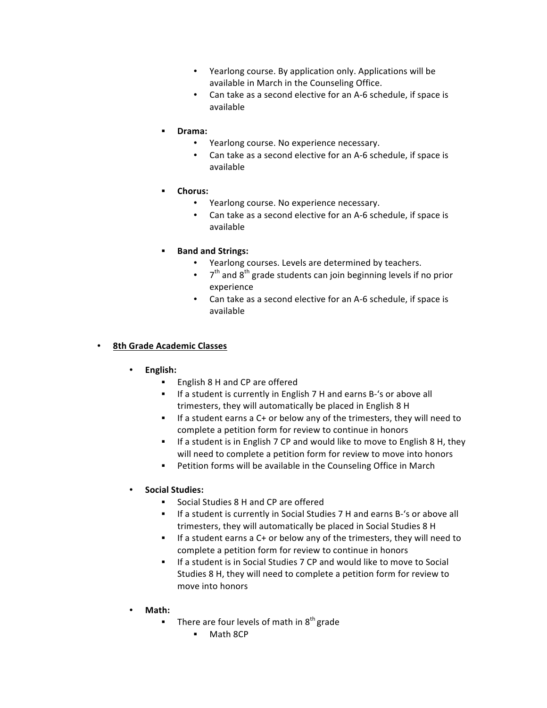- Yearlong course. By application only. Applications will be available in March in the Counseling Office.
- Can take as a second elective for an A-6 schedule, if space is available
- § **Drama:**
	- Yearlong course. No experience necessary.
	- Can take as a second elective for an A-6 schedule, if space is available
- § **Chorus:**
	- Yearlong course. No experience necessary.
	- Can take as a second elective for an A-6 schedule, if space is available
- § **Band and Strings:**
	- Yearlong courses. Levels are determined by teachers.
	- $7<sup>th</sup>$  and  $8<sup>th</sup>$  grade students can join beginning levels if no prior experience
	- Can take as a second elective for an A-6 schedule, if space is available

## • **8th Grade Academic Classes**

- **English:**
	- English 8 H and CP are offered
	- **EXECT:** If a student is currently in English 7 H and earns B-'s or above all trimesters, they will automatically be placed in English 8 H
	- **•** If a student earns a C+ or below any of the trimesters, they will need to complete a petition form for review to continue in honors
	- **•** If a student is in English 7 CP and would like to move to English 8 H, they will need to complete a petition form for review to move into honors
	- **•** Petition forms will be available in the Counseling Office in March
- **Social Studies:**
	- Social Studies 8 H and CP are offered
	- **EXECT:** If a student is currently in Social Studies 7 H and earns B-'s or above all trimesters, they will automatically be placed in Social Studies 8 H
	- **•** If a student earns a C+ or below any of the trimesters, they will need to complete a petition form for review to continue in honors
	- **•** If a student is in Social Studies 7 CP and would like to move to Social Studies 8 H, they will need to complete a petition form for review to move into honors
- **Math:**
	- **Fig.** There are four levels of math in  $8<sup>th</sup>$  grade
		- Math 8CP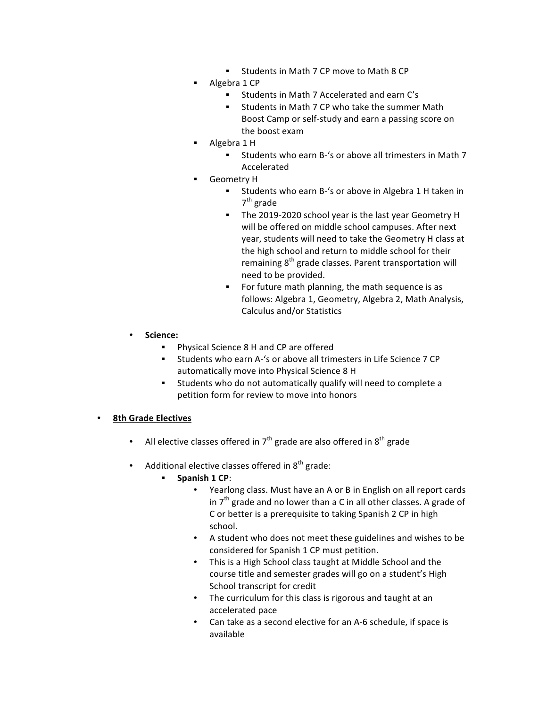- Students in Math 7 CP move to Math 8 CP
- Algebra 1 CP
	- Students in Math 7 Accelerated and earn C's
	- Students in Math 7 CP who take the summer Math Boost Camp or self-study and earn a passing score on the boost exam
- Algebra 1 H
	- Students who earn B-'s or above all trimesters in Math 7 Accelerated
- § Geometry H
	- Students who earn B-'s or above in Algebra 1 H taken in  $7<sup>th</sup>$  grade
	- **•** The 2019-2020 school year is the last year Geometry H will be offered on middle school campuses. After next year, students will need to take the Geometry H class at the high school and return to middle school for their remaining  $8<sup>th</sup>$  grade classes. Parent transportation will need to be provided.
	- For future math planning, the math sequence is as follows: Algebra 1, Geometry, Algebra 2, Math Analysis, Calculus and/or Statistics
- **Science:**
	- Physical Science 8 H and CP are offered
	- Students who earn A-'s or above all trimesters in Life Science 7 CP automatically move into Physical Science 8 H
	- **EXECO STARF Students** who do not automatically qualify will need to complete a petition form for review to move into honors

## • **8th Grade Electives**

- All elective classes offered in  $7<sup>th</sup>$  grade are also offered in  $8<sup>th</sup>$  grade
- Additional elective classes offered in  $8<sup>th</sup>$  grade:
	- § **Spanish 1 CP**:
		- Yearlong class. Must have an A or B in English on all report cards in  $7<sup>th</sup>$  grade and no lower than a C in all other classes. A grade of C or better is a prerequisite to taking Spanish 2 CP in high school.
		- A student who does not meet these guidelines and wishes to be considered for Spanish 1 CP must petition.
		- This is a High School class taught at Middle School and the course title and semester grades will go on a student's High School transcript for credit
		- The curriculum for this class is rigorous and taught at an accelerated pace
		- Can take as a second elective for an A-6 schedule, if space is available